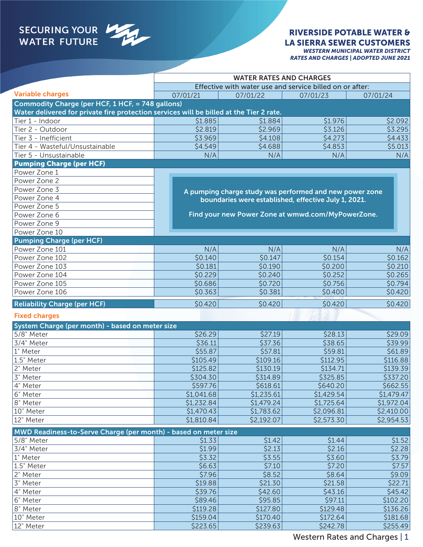# SECURING YOUR

#### RIVERSIDE POTABLE WATER & LA SIERRA SEWER CUSTOMERS *WESTERN MUNICIPAL WATER DISTRICT*

| <b>WESTERN MUNICIPAL WATER DISTRICT</b>      |  |
|----------------------------------------------|--|
| <b>RATES AND CHARGES   ADOPTED JUNE 2021</b> |  |

|                                                                                         | <b>WATER RATES AND CHARGES</b>                           |                                                         |            |            |
|-----------------------------------------------------------------------------------------|----------------------------------------------------------|---------------------------------------------------------|------------|------------|
|                                                                                         | Effective with water use and service billed on or after: |                                                         |            |            |
| <b>Variable charges</b>                                                                 | 07/01/21                                                 | 07/01/22                                                | 07/01/23   | 07/01/24   |
| Commodity Charge (per HCF, 1 HCF, = 748 gallons)                                        |                                                          |                                                         |            |            |
| Water delivered for private fire protection services will be billed at the Tier 2 rate. |                                                          |                                                         |            |            |
| Tier 1 - Indoor                                                                         | \$1.885                                                  | \$1.884                                                 | \$1.976    | \$2.092    |
| Tier 2 - Outdoor                                                                        | \$2.819                                                  | \$2.969                                                 | \$3.126    | \$3.295    |
| Tier 3 - Inefficient                                                                    | \$3.969                                                  | \$4.108                                                 | \$4.273    | \$4.433    |
| Tier 4 - Wasteful/Unsustainable                                                         | \$4.549                                                  | \$4.688                                                 | \$4.853    | \$5.013    |
| Tier 5 - Unsustainable                                                                  | N/A                                                      | N/A                                                     | N/A        | N/A        |
| <b>Pumping Charge (per HCF)</b>                                                         |                                                          |                                                         |            |            |
| Power Zone 1                                                                            |                                                          |                                                         |            |            |
| Power Zone 2                                                                            |                                                          |                                                         |            |            |
| Power Zone 3                                                                            |                                                          | A pumping charge study was performed and new power zone |            |            |
| Power Zone 4                                                                            |                                                          | boundaries were established, effective July 1, 2021.    |            |            |
| Power Zone 5                                                                            |                                                          |                                                         |            |            |
| Power Zone 6                                                                            |                                                          | Find your new Power Zone at wmwd.com/MyPowerZone.       |            |            |
| Power Zone 9                                                                            |                                                          |                                                         |            |            |
| Power Zone 10                                                                           |                                                          |                                                         |            |            |
| <b>Pumping Charge (per HCF)</b>                                                         |                                                          |                                                         |            |            |
| Power Zone 101                                                                          | N/A                                                      | N/A                                                     | N/A        | N/A        |
| Power Zone 102                                                                          | \$0.140                                                  | \$0.147                                                 | \$0.154    | \$0.162    |
| Power Zone 103                                                                          | \$0.181                                                  | \$0.190                                                 | \$0.200    | \$0.210    |
| Power Zone 104                                                                          | \$0.229                                                  | \$0.240                                                 | \$0.252    | \$0.265    |
| Power Zone 105                                                                          | \$0.686                                                  | \$0.720                                                 | \$0.756    | \$0.794    |
| Power Zone 106                                                                          | \$0.363                                                  | \$0.381                                                 | \$0.400    | \$0.420    |
| <b>Reliability Charge (per HCF)</b>                                                     | \$0.420                                                  | \$0.420                                                 | \$0.420    | \$0.420    |
|                                                                                         |                                                          |                                                         |            |            |
| <b>Fixed charges</b>                                                                    |                                                          |                                                         |            |            |
| System Charge (per month) - based on meter size                                         |                                                          |                                                         |            |            |
| 5/8" Meter                                                                              | \$26.29                                                  | \$27.19                                                 | \$28.13    | \$29.09    |
| 3/4" Meter                                                                              | \$36.11                                                  | \$37.36                                                 | \$38.65    | \$39.99    |
| 1" Meter                                                                                | \$55.87                                                  | \$57.81                                                 | \$59.81    | \$61.89    |
| 1.5" Meter                                                                              | \$105.49                                                 | \$109.16                                                | \$112.95   | \$116.88   |
| 2" Meter                                                                                | \$125.82                                                 | \$130.19                                                | \$134.71   | \$139.39   |
| 3" Meter                                                                                | \$304.30                                                 | \$314.89                                                | \$325.85   | \$337.20   |
| 4" Meter                                                                                | \$597.76                                                 | \$618.61                                                | \$640.20   | \$662.55   |
| 6" Meter                                                                                | \$1,041.68                                               | \$1,235.61                                              | \$1,429.54 | \$1,479.47 |
| 8" Meter                                                                                | \$1,232.84                                               | \$1,479.24                                              | \$1,725.64 | \$1,972.04 |
| 10" Meter                                                                               | \$1,470.43                                               | \$1,783.62                                              | \$2,096.81 | \$2,410.00 |
| 12" Meter                                                                               | \$1,810.84                                               | \$2,192.07                                              | \$2,573.30 | \$2,954.53 |
| MWD Readiness-to-Serve Charge (per month) - based on meter size                         |                                                          |                                                         |            |            |
| 5/8" Meter                                                                              | \$1.33                                                   | \$1.42                                                  | \$1.44     | \$1.52     |
| 3/4" Meter                                                                              | \$1.99                                                   | \$2.13                                                  | \$2.16     | \$2.28     |
| 1" Meter                                                                                | \$3.32                                                   | \$3.55                                                  | \$3.60     | \$3.79     |
| 1.5" Meter                                                                              | \$6.63                                                   | \$7.10                                                  | \$7.20     | \$7.57     |
| 2" Meter                                                                                | \$7.96                                                   | \$8.52                                                  | \$8.64     | \$9.09     |
| 3" Meter                                                                                | \$19.88                                                  | \$21.30                                                 | \$21.58    | \$22.71    |
| 4" Meter                                                                                | \$39.76                                                  | \$42.60                                                 | \$43.16    | \$45.42    |
| 6" Meter                                                                                | \$89.46                                                  | \$95.85                                                 | \$97.11    | \$102.20   |
| 8" Meter                                                                                | \$119.28                                                 | \$127.80                                                | \$129.48   | \$136.26   |
| 10" Meter                                                                               | \$159.04                                                 | \$170.40                                                | \$172.64   | \$181.68   |
| 12" Meter                                                                               | \$223.65                                                 | \$239.63                                                | \$242.78   | \$255.49   |

Western Rates and Charges | 1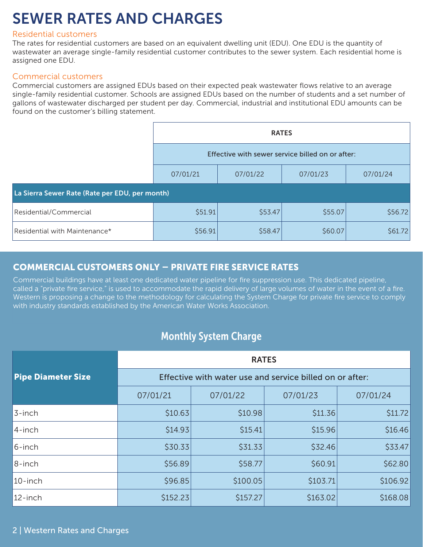# SEWER RATES AND CHARGES

#### Residential customers

The rates for residential customers are based on an equivalent dwelling unit (EDU). One EDU is the quantity of wastewater an average single-family residential customer contributes to the sewer system. Each residential home is assigned one EDU.

#### Commercial customers

Commercial customers are assigned EDUs based on their expected peak wastewater flows relative to an average single-family residential customer. Schools are assigned EDUs based on the number of students and a set number of gallons of wastewater discharged per student per day. Commercial, industrial and institutional EDU amounts can be found on the customer's billing statement.

|                                                | <b>RATES</b><br>Effective with sewer service billed on or after: |          |          |          |  |  |
|------------------------------------------------|------------------------------------------------------------------|----------|----------|----------|--|--|
|                                                |                                                                  |          |          |          |  |  |
|                                                | 07/01/21                                                         | 07/01/22 | 07/01/23 | 07/01/24 |  |  |
| La Sierra Sewer Rate (Rate per EDU, per month) |                                                                  |          |          |          |  |  |
| Residential/Commercial                         | \$51.91                                                          | \$53.47  | \$55.07  | \$56.72  |  |  |
| Residential with Maintenance*                  | \$56.91                                                          | \$58.47  | \$60.07  | \$61.72  |  |  |

### COMMERCIAL CUSTOMERS ONLY – PRIVATE FIRE SERVICE RATES

Commercial buildings have at least one dedicated water pipeline for fire suppression use. This dedicated pipeline, called a "private fire service," is used to accommodate the rapid delivery of large volumes of water in the event of a fire. Western is proposing a change to the methodology for calculating the System Charge for private fire service to comply with industry standards established by the American Water Works Association.

# Monthly System Charge

|                           | <b>RATES</b><br>Effective with water use and service billed on or after: |          |          |          |
|---------------------------|--------------------------------------------------------------------------|----------|----------|----------|
| <b>Pipe Diameter Size</b> |                                                                          |          |          |          |
|                           | 07/01/21                                                                 | 07/01/22 | 07/01/23 | 07/01/24 |
| 3-inch                    | \$10.63                                                                  | \$10.98  | \$11.36  | \$11.72  |
| 4-inch                    | \$14.93                                                                  | \$15.41  | \$15.96  | \$16.46  |
| 6-inch                    | \$30.33                                                                  | \$31.33  | \$32.46  | \$33.47  |
| 8-inch                    | \$56.89                                                                  | \$58.77  | \$60.91  | \$62.80  |
| $10$ -inch                | \$96.85                                                                  | \$100.05 | \$103.71 | \$106.92 |
| 12-inch                   | \$152.23                                                                 | \$157.27 | \$163.02 | \$168.08 |